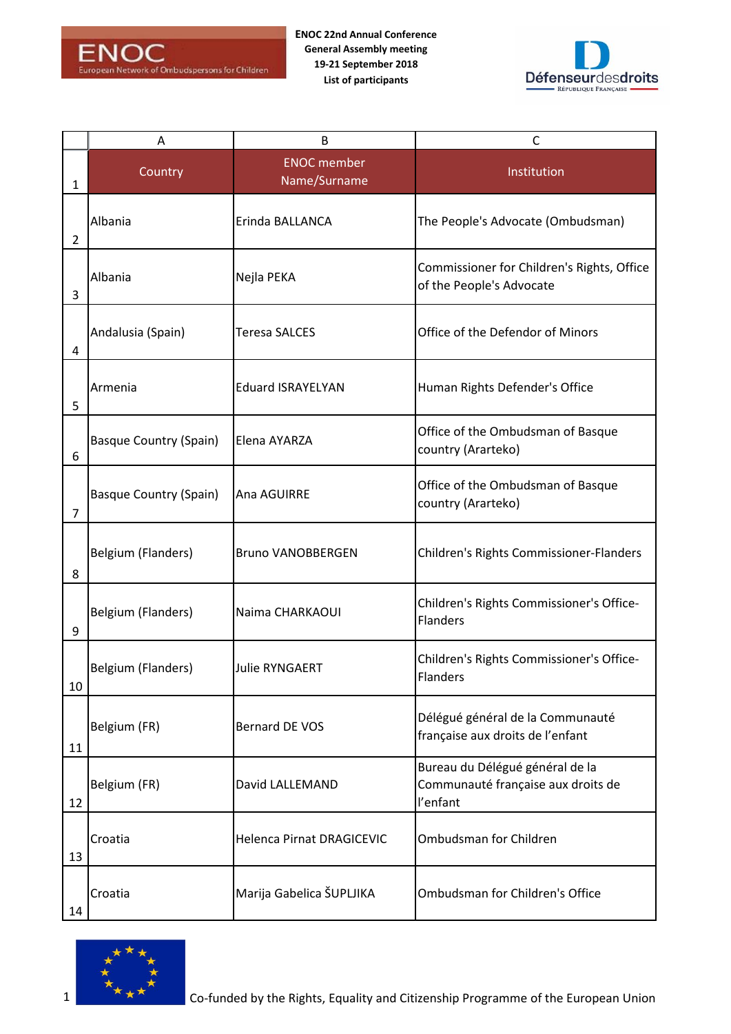



|                | Α                             | B                                  | C                                                                                 |
|----------------|-------------------------------|------------------------------------|-----------------------------------------------------------------------------------|
| 1              | Country                       | <b>ENOC</b> member<br>Name/Surname | Institution                                                                       |
| $\overline{2}$ | Albania                       | Erinda BALLANCA                    | The People's Advocate (Ombudsman)                                                 |
| 3              | Albania                       | Nejla PEKA                         | Commissioner for Children's Rights, Office<br>of the People's Advocate            |
| 4              | Andalusia (Spain)             | Teresa SALCES                      | Office of the Defendor of Minors                                                  |
| 5              | Armenia                       | <b>Eduard ISRAYELYAN</b>           | Human Rights Defender's Office                                                    |
| 6              | <b>Basque Country (Spain)</b> | Elena AYARZA                       | Office of the Ombudsman of Basque<br>country (Ararteko)                           |
| $\overline{7}$ | <b>Basque Country (Spain)</b> | Ana AGUIRRE                        | Office of the Ombudsman of Basque<br>country (Ararteko)                           |
| 8              | Belgium (Flanders)            | <b>Bruno VANOBBERGEN</b>           | Children's Rights Commissioner-Flanders                                           |
| 9              | Belgium (Flanders)            | Naima CHARKAOUI                    | Children's Rights Commissioner's Office-<br><b>Flanders</b>                       |
| 10             | Belgium (Flanders)            | <b>Julie RYNGAERT</b>              | Children's Rights Commissioner's Office-<br>Flanders                              |
| 11             | Belgium (FR)                  | <b>Bernard DE VOS</b>              | Délégué général de la Communauté<br>française aux droits de l'enfant              |
| 12             | Belgium (FR)                  | David LALLEMAND                    | Bureau du Délégué général de la<br>Communauté française aux droits de<br>l'enfant |
| 13             | Croatia                       | Helenca Pirnat DRAGICEVIC          | Ombudsman for Children                                                            |
| 14             | Croatia                       | Marija Gabelica ŠUPLJIKA           | Ombudsman for Children's Office                                                   |

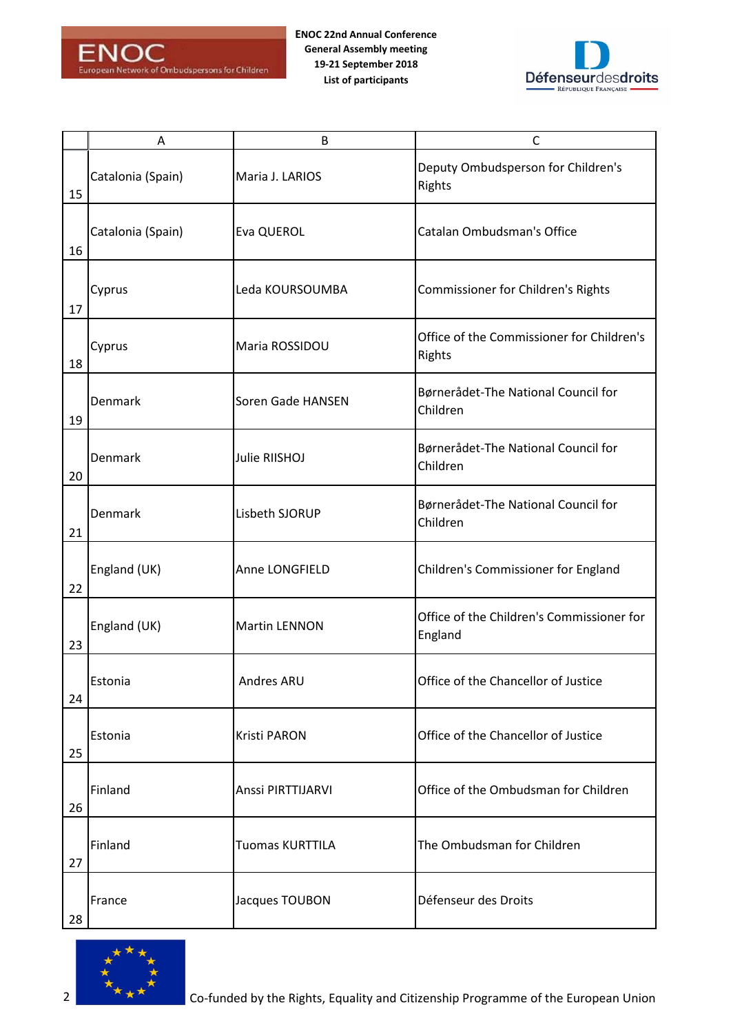



|    | Α                 | B                    | $\mathsf{C}$                                         |
|----|-------------------|----------------------|------------------------------------------------------|
| 15 | Catalonia (Spain) | Maria J. LARIOS      | Deputy Ombudsperson for Children's<br>Rights         |
| 16 | Catalonia (Spain) | Eva QUEROL           | Catalan Ombudsman's Office                           |
| 17 | Cyprus            | Leda KOURSOUMBA      | <b>Commissioner for Children's Rights</b>            |
| 18 | Cyprus            | Maria ROSSIDOU       | Office of the Commissioner for Children's<br>Rights  |
| 19 | Denmark           | Soren Gade HANSEN    | Børnerådet-The National Council for<br>Children      |
| 20 | Denmark           | Julie RIISHOJ        | Børnerådet-The National Council for<br>Children      |
| 21 | Denmark           | Lisbeth SJORUP       | Børnerådet-The National Council for<br>Children      |
| 22 | England (UK)      | Anne LONGFIELD       | Children's Commissioner for England                  |
| 23 | England (UK)      | <b>Martin LENNON</b> | Office of the Children's Commissioner for<br>England |
| 24 | Estonia           | Andres ARU           | Office of the Chancellor of Justice                  |
| 25 | Estonia           | <b>Kristi PARON</b>  | Office of the Chancellor of Justice                  |
| 26 | Finland           | Anssi PIRTTIJARVI    | Office of the Ombudsman for Children                 |
| 27 | Finland           | Tuomas KURTTILA      | The Ombudsman for Children                           |
| 28 | France            | Jacques TOUBON       | Défenseur des Droits                                 |

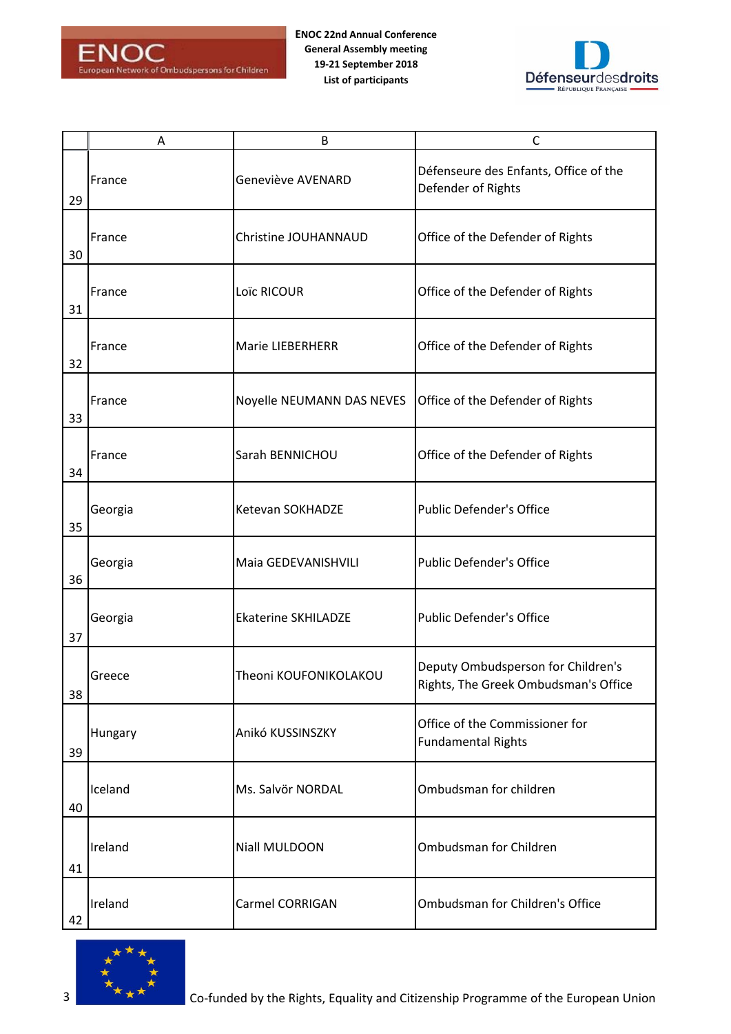



|    | Α       | B                          | $\mathsf{C}$                                                               |
|----|---------|----------------------------|----------------------------------------------------------------------------|
| 29 | France  | Geneviève AVENARD          | Défenseure des Enfants, Office of the<br>Defender of Rights                |
| 30 | France  | Christine JOUHANNAUD       | Office of the Defender of Rights                                           |
| 31 | France  | Loïc RICOUR                | Office of the Defender of Rights                                           |
| 32 | France  | Marie LIEBERHERR           | Office of the Defender of Rights                                           |
| 33 | France  | Noyelle NEUMANN DAS NEVES  | Office of the Defender of Rights                                           |
| 34 | France  | Sarah BENNICHOU            | Office of the Defender of Rights                                           |
| 35 | Georgia | Ketevan SOKHADZE           | <b>Public Defender's Office</b>                                            |
| 36 | Georgia | Maia GEDEVANISHVILI        | <b>Public Defender's Office</b>                                            |
| 37 | Georgia | <b>Ekaterine SKHILADZE</b> | Public Defender's Office                                                   |
| 38 | Greece  | Theoni KOUFONIKOLAKOU      | Deputy Ombudsperson for Children's<br>Rights, The Greek Ombudsman's Office |
| 39 | Hungary | Anikó KUSSINSZKY           | Office of the Commissioner for<br><b>Fundamental Rights</b>                |
| 40 | Iceland | Ms. Salvör NORDAL          | Ombudsman for children                                                     |
| 41 | Ireland | Niall MULDOON              | Ombudsman for Children                                                     |
| 42 | Ireland | Carmel CORRIGAN            | Ombudsman for Children's Office                                            |

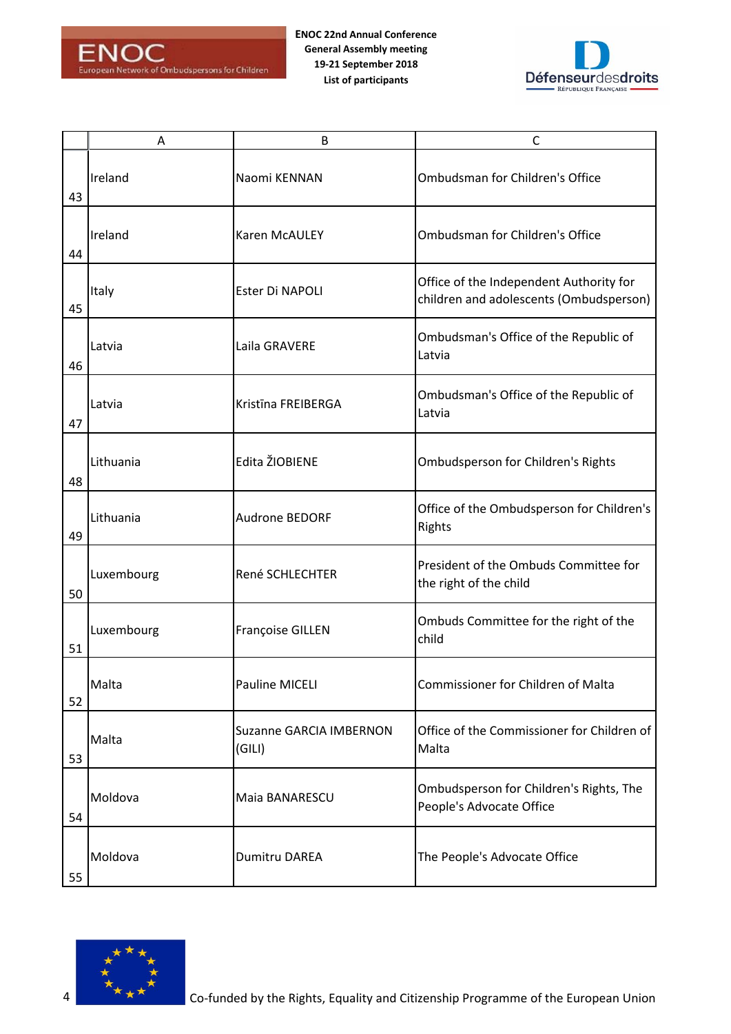



|    | Α          | B                                        | $\mathsf{C}$                                                                       |
|----|------------|------------------------------------------|------------------------------------------------------------------------------------|
| 43 | Ireland    | Naomi KENNAN                             | Ombudsman for Children's Office                                                    |
| 44 | Ireland    | <b>Karen McAULEY</b>                     | Ombudsman for Children's Office                                                    |
| 45 | Italy      | Ester Di NAPOLI                          | Office of the Independent Authority for<br>children and adolescents (Ombudsperson) |
| 46 | Latvia     | Laila GRAVERE                            | Ombudsman's Office of the Republic of<br>Latvia                                    |
| 47 | Latvia     | Kristīna FREIBERGA                       | Ombudsman's Office of the Republic of<br>Latvia                                    |
| 48 | Lithuania  | Edita ŽIOBIENE                           | <b>Ombudsperson for Children's Rights</b>                                          |
| 49 | Lithuania  | Audrone BEDORF                           | Office of the Ombudsperson for Children's<br>Rights                                |
| 50 | Luxembourg | René SCHLECHTER                          | President of the Ombuds Committee for<br>the right of the child                    |
| 51 | Luxembourg | <b>Françoise GILLEN</b>                  | Ombuds Committee for the right of the<br>child                                     |
| 52 | Malta      | Pauline MICELI                           | Commissioner for Children of Malta                                                 |
| 53 | Malta      | <b>Suzanne GARCIA IMBERNON</b><br>(GILI) | Office of the Commissioner for Children of<br>Malta                                |
| 54 | Moldova    | Maia BANARESCU                           | Ombudsperson for Children's Rights, The<br>People's Advocate Office                |
| 55 | Moldova    | <b>Dumitru DAREA</b>                     | The People's Advocate Office                                                       |

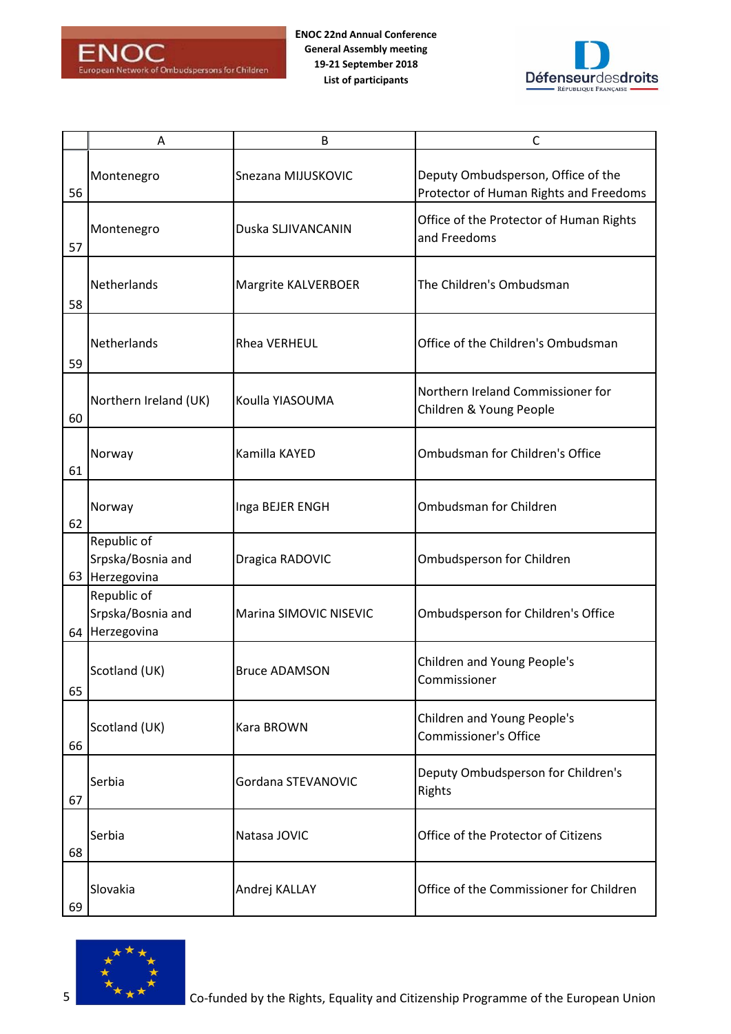



|    | A                                                  | B                      | $\mathsf{C}$                                                                 |
|----|----------------------------------------------------|------------------------|------------------------------------------------------------------------------|
| 56 | Montenegro                                         | Snezana MIJUSKOVIC     | Deputy Ombudsperson, Office of the<br>Protector of Human Rights and Freedoms |
| 57 | Montenegro                                         | Duska SLJIVANCANIN     | Office of the Protector of Human Rights<br>and Freedoms                      |
| 58 | Netherlands                                        | Margrite KALVERBOER    | The Children's Ombudsman                                                     |
| 59 | Netherlands                                        | <b>Rhea VERHEUL</b>    | Office of the Children's Ombudsman                                           |
| 60 | Northern Ireland (UK)                              | Koulla YIASOUMA        | Northern Ireland Commissioner for<br>Children & Young People                 |
| 61 | Norway                                             | Kamilla KAYED          | Ombudsman for Children's Office                                              |
| 62 | Norway                                             | Inga BEJER ENGH        | Ombudsman for Children                                                       |
|    | Republic of<br>Srpska/Bosnia and<br>63 Herzegovina | Dragica RADOVIC        | Ombudsperson for Children                                                    |
|    | Republic of<br>Srpska/Bosnia and<br>64 Herzegovina | Marina SIMOVIC NISEVIC | Ombudsperson for Children's Office                                           |
| 65 | Scotland (UK)                                      | <b>Bruce ADAMSON</b>   | Children and Young People's<br>Commissioner                                  |
| 66 | Scotland (UK)                                      | <b>Kara BROWN</b>      | Children and Young People's<br><b>Commissioner's Office</b>                  |
| 67 | Serbia                                             | Gordana STEVANOVIC     | Deputy Ombudsperson for Children's<br>Rights                                 |
| 68 | Serbia                                             | Natasa JOVIC           | Office of the Protector of Citizens                                          |
| 69 | Slovakia                                           | Andrej KALLAY          | Office of the Commissioner for Children                                      |

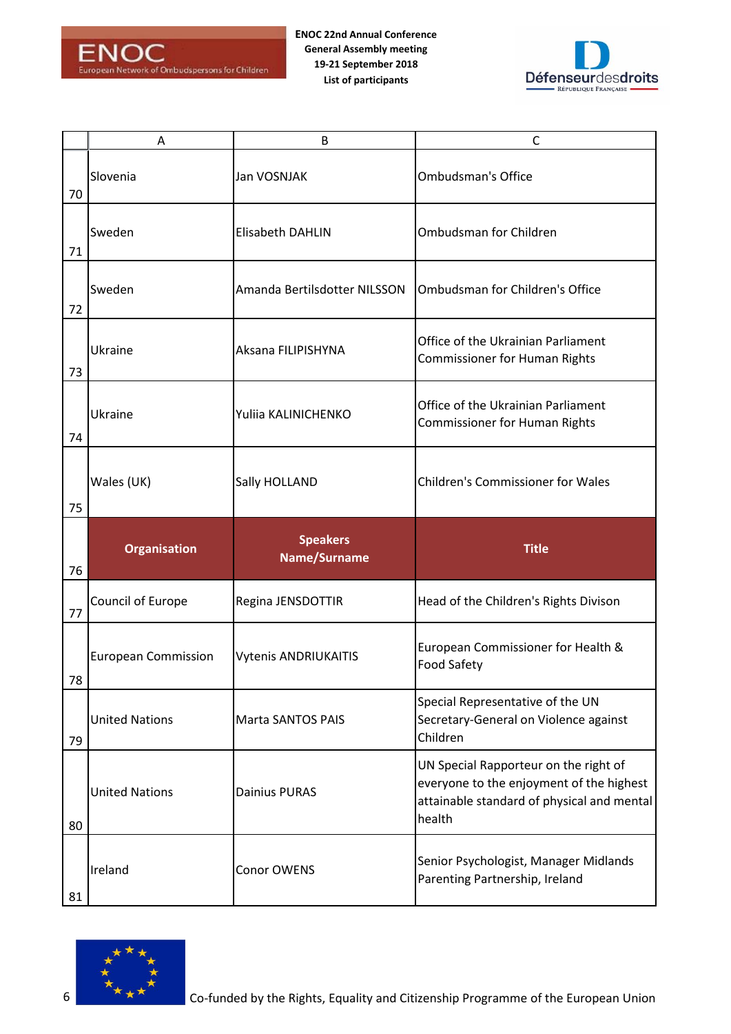



|    | A                          | B                               | C                                                                                                                                         |
|----|----------------------------|---------------------------------|-------------------------------------------------------------------------------------------------------------------------------------------|
| 70 | Slovenia                   | Jan VOSNJAK                     | <b>Ombudsman's Office</b>                                                                                                                 |
| 71 | Sweden                     | Elisabeth DAHLIN                | Ombudsman for Children                                                                                                                    |
| 72 | Sweden                     | Amanda Bertilsdotter NILSSON    | Ombudsman for Children's Office                                                                                                           |
| 73 | Ukraine                    | Aksana FILIPISHYNA              | Office of the Ukrainian Parliament<br><b>Commissioner for Human Rights</b>                                                                |
| 74 | Ukraine                    | Yuliia KALINICHENKO             | Office of the Ukrainian Parliament<br><b>Commissioner for Human Rights</b>                                                                |
| 75 | Wales (UK)                 | Sally HOLLAND                   | <b>Children's Commissioner for Wales</b>                                                                                                  |
|    |                            |                                 |                                                                                                                                           |
| 76 | <b>Organisation</b>        | <b>Speakers</b><br>Name/Surname | <b>Title</b>                                                                                                                              |
| 77 | Council of Europe          | Regina JENSDOTTIR               | Head of the Children's Rights Divison                                                                                                     |
| 78 | <b>European Commission</b> | <b>Vytenis ANDRIUKAITIS</b>     | European Commissioner for Health &<br><b>Food Safety</b>                                                                                  |
| 79 | <b>United Nations</b>      | <b>Marta SANTOS PAIS</b>        | Special Representative of the UN<br>Secretary-General on Violence against<br>Children                                                     |
| 80 | <b>United Nations</b>      | <b>Dainius PURAS</b>            | UN Special Rapporteur on the right of<br>everyone to the enjoyment of the highest<br>attainable standard of physical and mental<br>health |

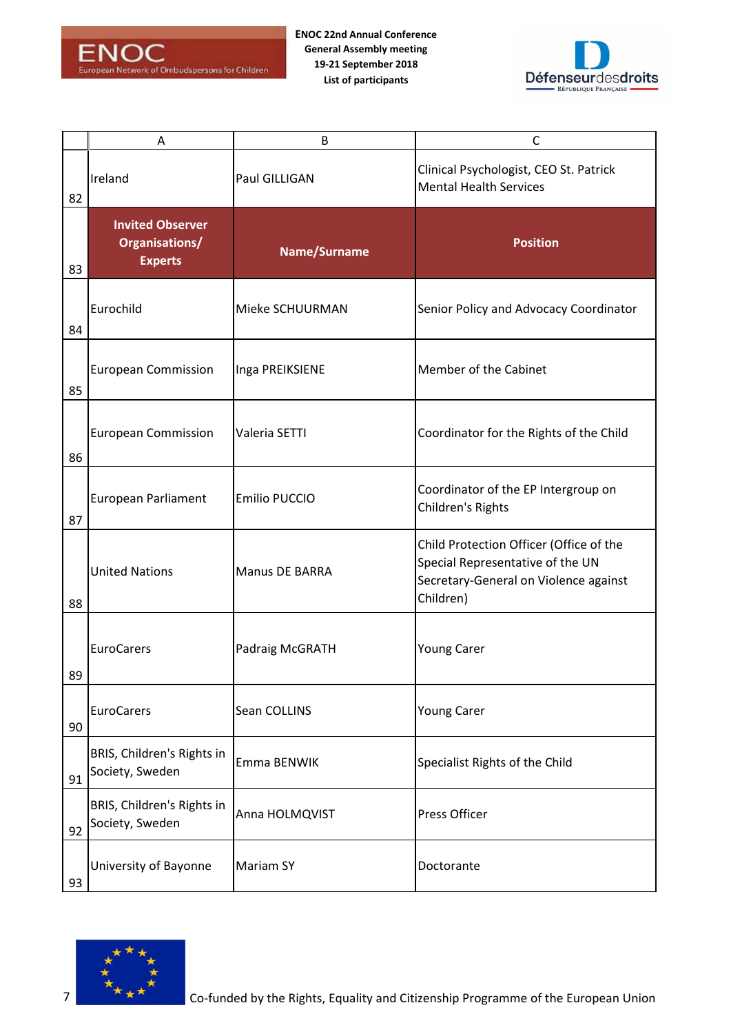



|    | A                                                           | B                     | C                                                                                                                                 |
|----|-------------------------------------------------------------|-----------------------|-----------------------------------------------------------------------------------------------------------------------------------|
| 82 | Ireland                                                     | Paul GILLIGAN         | Clinical Psychologist, CEO St. Patrick<br><b>Mental Health Services</b>                                                           |
| 83 | <b>Invited Observer</b><br>Organisations/<br><b>Experts</b> | Name/Surname          | <b>Position</b>                                                                                                                   |
| 84 | Eurochild                                                   | Mieke SCHUURMAN       | Senior Policy and Advocacy Coordinator                                                                                            |
| 85 | <b>European Commission</b>                                  | Inga PREIKSIENE       | Member of the Cabinet                                                                                                             |
| 86 | <b>European Commission</b>                                  | Valeria SETTI         | Coordinator for the Rights of the Child                                                                                           |
| 87 | <b>European Parliament</b>                                  | Emilio PUCCIO         | Coordinator of the EP Intergroup on<br>Children's Rights                                                                          |
| 88 | <b>United Nations</b>                                       | <b>Manus DE BARRA</b> | Child Protection Officer (Office of the<br>Special Representative of the UN<br>Secretary-General on Violence against<br>Children) |
| 89 | <b>EuroCarers</b>                                           | Padraig McGRATH       | <b>Young Carer</b>                                                                                                                |
| 90 | EuroCarers                                                  | Sean COLLINS          | <b>Young Carer</b>                                                                                                                |
| 91 | BRIS, Children's Rights in<br>Society, Sweden               | Emma BENWIK           | Specialist Rights of the Child                                                                                                    |
| 92 | BRIS, Children's Rights in<br>Society, Sweden               | Anna HOLMQVIST        | Press Officer                                                                                                                     |
| 93 | University of Bayonne                                       | <b>Mariam SY</b>      | Doctorante                                                                                                                        |

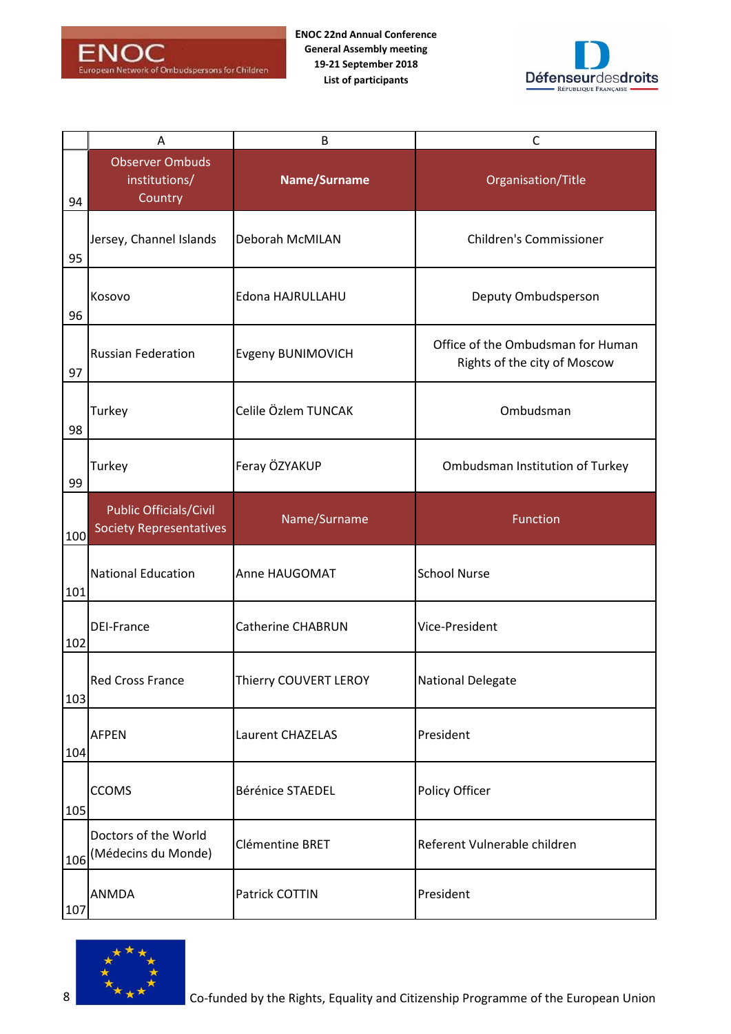

**ENOC 22nd Annual Conference General Assembly meeting 19-21 September 2018 List of participants**



|     | Α                                                               | B                        | $\mathsf{C}$                                                      |
|-----|-----------------------------------------------------------------|--------------------------|-------------------------------------------------------------------|
| 94  | <b>Observer Ombuds</b><br>institutions/<br>Country              | Name/Surname             | Organisation/Title                                                |
| 95  | Jersey, Channel Islands                                         | Deborah McMILAN          | <b>Children's Commissioner</b>                                    |
| 96  | Kosovo                                                          | Edona HAJRULLAHU         | Deputy Ombudsperson                                               |
| 97  | <b>Russian Federation</b>                                       | Evgeny BUNIMOVICH        | Office of the Ombudsman for Human<br>Rights of the city of Moscow |
| 98  | Turkey                                                          | Celile Özlem TUNCAK      | Ombudsman                                                         |
| 99  | Turkey                                                          | Feray ÖZYAKUP            | Ombudsman Institution of Turkey                                   |
| 100 | <b>Public Officials/Civil</b><br><b>Society Representatives</b> | Name/Surname             | Function                                                          |
| 101 | <b>National Education</b>                                       | Anne HAUGOMAT            | <b>School Nurse</b>                                               |
|     |                                                                 |                          |                                                                   |
| 102 | <b>DEI-France</b>                                               | <b>Catherine CHABRUN</b> | Vice-President                                                    |
| 103 | <b>Red Cross France</b>                                         | Thierry COUVERT LEROY    | <b>National Delegate</b>                                          |
| 104 | <b>AFPEN</b>                                                    | Laurent CHAZELAS         | President                                                         |
| 105 | <b>CCOMS</b>                                                    | Bérénice STAEDEL         | Policy Officer                                                    |
| 106 | Doctors of the World<br>(Médecins du Monde)                     | Clémentine BRET          | Referent Vulnerable children                                      |

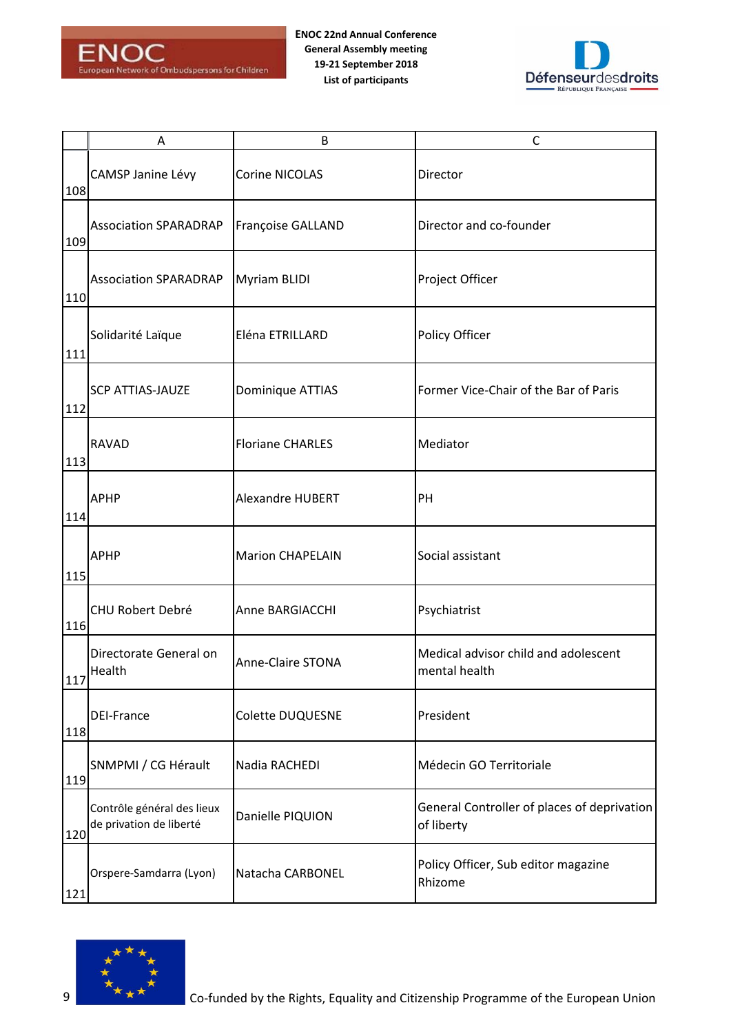



|     | A                                                     | B                        | C                                                         |
|-----|-------------------------------------------------------|--------------------------|-----------------------------------------------------------|
| 108 | CAMSP Janine Lévy                                     | Corine NICOLAS           | Director                                                  |
| 109 | <b>Association SPARADRAP</b>                          | Françoise GALLAND        | Director and co-founder                                   |
| 110 | <b>Association SPARADRAP</b>                          | Myriam BLIDI             | Project Officer                                           |
| 111 | Solidarité Laïque                                     | Eléna ETRILLARD          | Policy Officer                                            |
| 112 | <b>SCP ATTIAS-JAUZE</b>                               | Dominique ATTIAS         | Former Vice-Chair of the Bar of Paris                     |
| 113 | <b>RAVAD</b>                                          | <b>Floriane CHARLES</b>  | Mediator                                                  |
| 114 | <b>APHP</b>                                           | Alexandre HUBERT         | PH                                                        |
| 115 | <b>APHP</b>                                           | <b>Marion CHAPELAIN</b>  | Social assistant                                          |
| 116 | CHU Robert Debré                                      | Anne BARGIACCHI          | Psychiatrist                                              |
| 117 | Directorate General on<br>Health                      | <b>Anne-Claire STONA</b> | Medical advisor child and adolescent<br>mental health     |
| 118 | <b>DEI-France</b>                                     | Colette DUQUESNE         | President                                                 |
| 119 | SNMPMI / CG Hérault                                   | Nadia RACHEDI            | Médecin GO Territoriale                                   |
| 120 | Contrôle général des lieux<br>de privation de liberté | Danielle PIQUION         | General Controller of places of deprivation<br>of liberty |
| 121 | Orspere-Samdarra (Lyon)                               | Natacha CARBONEL         | Policy Officer, Sub editor magazine<br>Rhizome            |

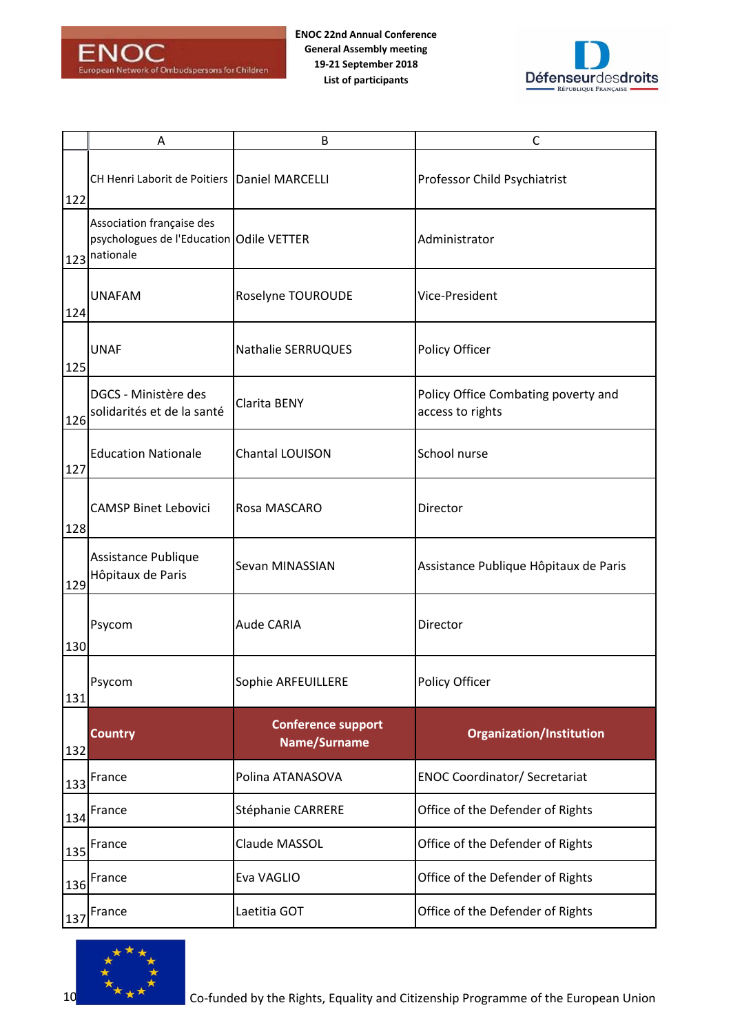

**ENOC 22nd Annual Conference General Assembly meeting 19-21 September 2018 List of participants**



|     | Α                                                                                      | B                                         | $\mathsf{C}$                                            |
|-----|----------------------------------------------------------------------------------------|-------------------------------------------|---------------------------------------------------------|
| 122 | CH Henri Laborit de Poitiers Daniel MARCELLI                                           |                                           | Professor Child Psychiatrist                            |
|     | Association française des<br>psychologues de l'Education Odile VETTER<br>123 nationale |                                           | Administrator                                           |
| 124 | <b>UNAFAM</b>                                                                          | Roselyne TOUROUDE                         | Vice-President                                          |
| 125 | <b>UNAF</b>                                                                            | Nathalie SERRUQUES                        | Policy Officer                                          |
| 126 | DGCS - Ministère des<br>solidarités et de la santé                                     | Clarita BENY                              | Policy Office Combating poverty and<br>access to rights |
| 127 | <b>Education Nationale</b>                                                             | Chantal LOUISON                           | School nurse                                            |
| 128 | <b>CAMSP Binet Lebovici</b>                                                            | Rosa MASCARO                              | Director                                                |
| 129 | Assistance Publique<br>Hôpitaux de Paris                                               | Sevan MINASSIAN                           | Assistance Publique Hôpitaux de Paris                   |
| 130 | Psycom                                                                                 | Aude CARIA                                | Director                                                |
| 131 | Psycom                                                                                 | Sophie ARFEUILLERE                        | Policy Officer                                          |
| 132 | <b>Country</b>                                                                         | <b>Conference support</b><br>Name/Surname | <b>Organization/Institution</b>                         |
| 133 | France                                                                                 | Polina ATANASOVA                          | <b>ENOC Coordinator/ Secretariat</b>                    |
| 134 | France                                                                                 | Stéphanie CARRERE                         | Office of the Defender of Rights                        |
| 135 | France                                                                                 | Claude MASSOL                             | Office of the Defender of Rights                        |
| 136 | France                                                                                 | Eva VAGLIO                                | Office of the Defender of Rights                        |
| 137 | France                                                                                 | Laetitia GOT                              | Office of the Defender of Rights                        |